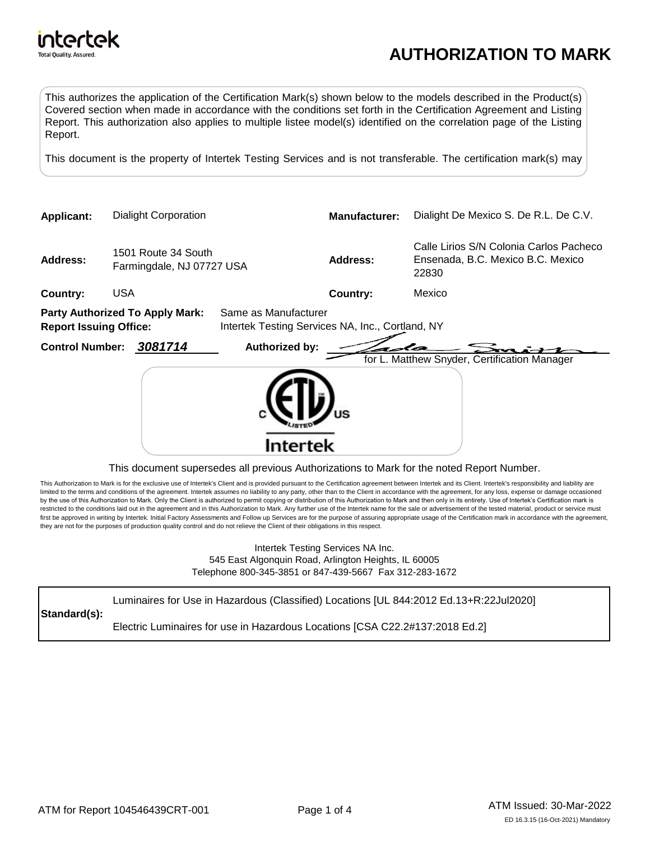

This authorizes the application of the Certification Mark(s) shown below to the models described in the Product(s) Covered section when made in accordance with the conditions set forth in the Certification Agreement and Listing Report. This authorization also applies to multiple listee model(s) identified on the correlation page of the Listing Report.

This document is the property of Intertek Testing Services and is not transferable. The certification mark(s) may



## This document supersedes all previous Authorizations to Mark for the noted Report Number.

This Authorization to Mark is for the exclusive use of Intertek's Client and is provided pursuant to the Certification agreement between Intertek and its Client. Intertek's responsibility and liability are limited to the terms and conditions of the agreement. Intertek assumes no liability to any party, other than to the Client in accordance with the agreement, for any loss, expense or damage occasioned by the use of this Authorization to Mark. Only the Client is authorized to permit copying or distribution of this Authorization to Mark and then only in its entirety. Use of Intertek's Certification mark is restricted to the conditions laid out in the agreement and in this Authorization to Mark. Any further use of the Intertek name for the sale or advertisement of the tested material, product or service must first be approved in writing by Intertek. Initial Factory Assessments and Follow up Services are for the purpose of assuring appropriate usage of the Certification mark in accordance with the agreement, they are not for the purposes of production quality control and do not relieve the Client of their obligations in this respect.

> Intertek Testing Services NA Inc. 545 East Algonquin Road, Arlington Heights, IL 60005 Telephone 800-345-3851 or 847-439-5667 Fax 312-283-1672

**Standard(s):** Luminaires for Use in Hazardous (Classified) Locations [UL 844:2012 Ed.13+R:22Jul2020] Electric Luminaires for use in Hazardous Locations [CSA C22.2#137:2018 Ed.2]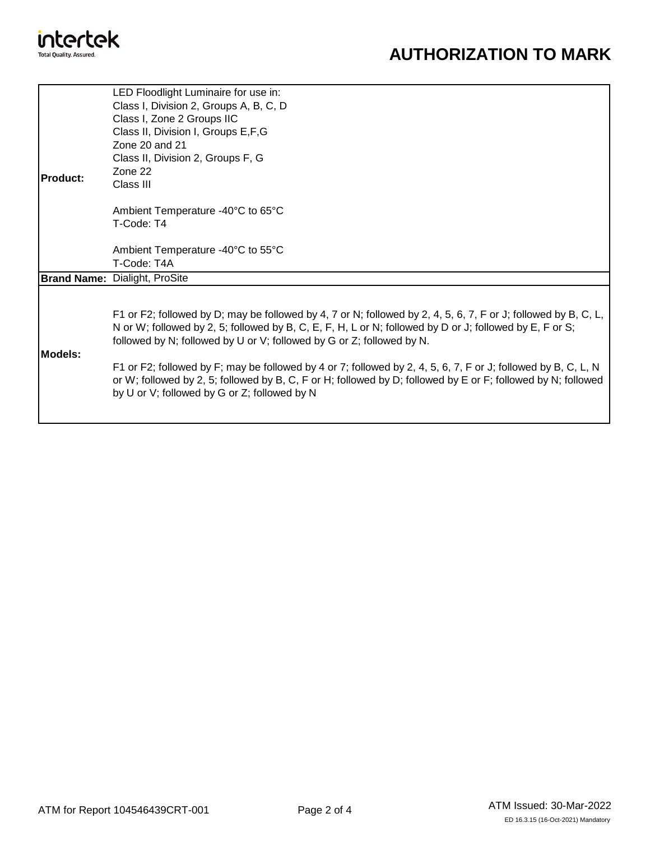

## **AUTHORIZATION TO MARK**

| <b>IProduct:</b> | LED Floodlight Luminaire for use in:<br>Class I, Division 2, Groups A, B, C, D<br>Class I, Zone 2 Groups IIC<br>Class II, Division I, Groups E, F, G<br>Zone 20 and 21<br>Class II, Division 2, Groups F, G                                                                                                                                                                                                                                                                                                                                                                         |
|------------------|-------------------------------------------------------------------------------------------------------------------------------------------------------------------------------------------------------------------------------------------------------------------------------------------------------------------------------------------------------------------------------------------------------------------------------------------------------------------------------------------------------------------------------------------------------------------------------------|
|                  | Zone 22<br>Class III                                                                                                                                                                                                                                                                                                                                                                                                                                                                                                                                                                |
|                  | Ambient Temperature -40°C to 65°C<br>T-Code: T4                                                                                                                                                                                                                                                                                                                                                                                                                                                                                                                                     |
|                  | Ambient Temperature -40°C to 55°C<br>T-Code: T4A                                                                                                                                                                                                                                                                                                                                                                                                                                                                                                                                    |
|                  | <b>Brand Name: Dialight, ProSite</b>                                                                                                                                                                                                                                                                                                                                                                                                                                                                                                                                                |
| Models:          | F1 or F2; followed by D; may be followed by 4, 7 or N; followed by 2, 4, 5, 6, 7, F or J; followed by B, C, L,<br>N or W; followed by 2, 5; followed by B, C, E, F, H, L or N; followed by D or J; followed by E, F or S;<br>followed by N; followed by U or V; followed by G or Z; followed by N.<br>F1 or F2; followed by F; may be followed by 4 or 7; followed by 2, 4, 5, 6, 7, F or J; followed by B, C, L, N<br>or W; followed by 2, 5; followed by B, C, F or H; followed by D; followed by E or F; followed by N; followed<br>by U or V; followed by G or Z; followed by N |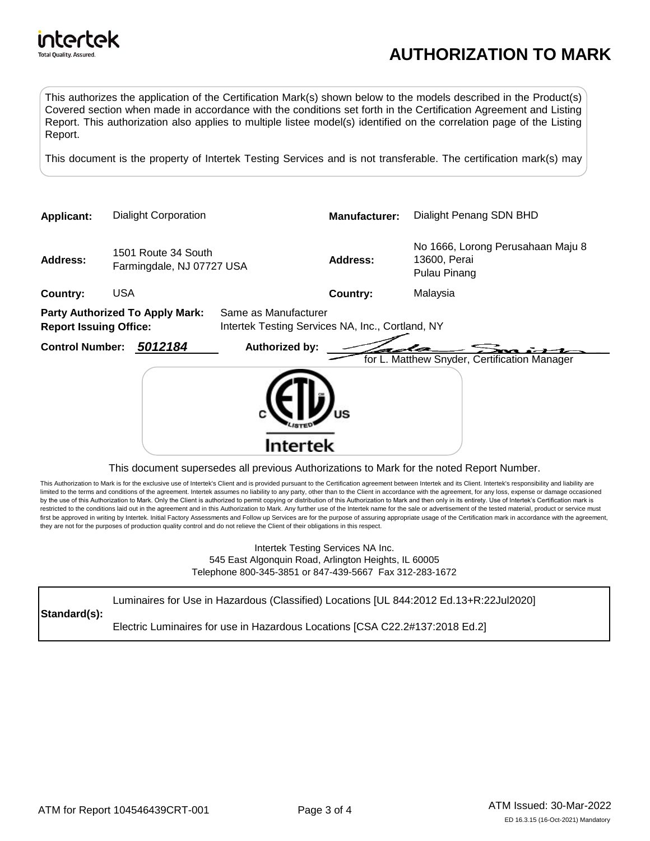

This authorizes the application of the Certification Mark(s) shown below to the models described in the Product(s) Covered section when made in accordance with the conditions set forth in the Certification Agreement and Listing Report. This authorization also applies to multiple listee model(s) identified on the correlation page of the Listing Report.

This document is the property of Intertek Testing Services and is not transferable. The certification mark(s) may



## This document supersedes all previous Authorizations to Mark for the noted Report Number.

This Authorization to Mark is for the exclusive use of Intertek's Client and is provided pursuant to the Certification agreement between Intertek and its Client. Intertek's responsibility and liability are limited to the terms and conditions of the agreement. Intertek assumes no liability to any party, other than to the Client in accordance with the agreement, for any loss, expense or damage occasioned by the use of this Authorization to Mark. Only the Client is authorized to permit copying or distribution of this Authorization to Mark and then only in its entirety. Use of Intertek's Certification mark is restricted to the conditions laid out in the agreement and in this Authorization to Mark. Any further use of the Intertek name for the sale or advertisement of the tested material, product or service must first be approved in writing by Intertek. Initial Factory Assessments and Follow up Services are for the purpose of assuring appropriate usage of the Certification mark in accordance with the agreement, they are not for the purposes of production quality control and do not relieve the Client of their obligations in this respect.

> Intertek Testing Services NA Inc. 545 East Algonquin Road, Arlington Heights, IL 60005 Telephone 800-345-3851 or 847-439-5667 Fax 312-283-1672